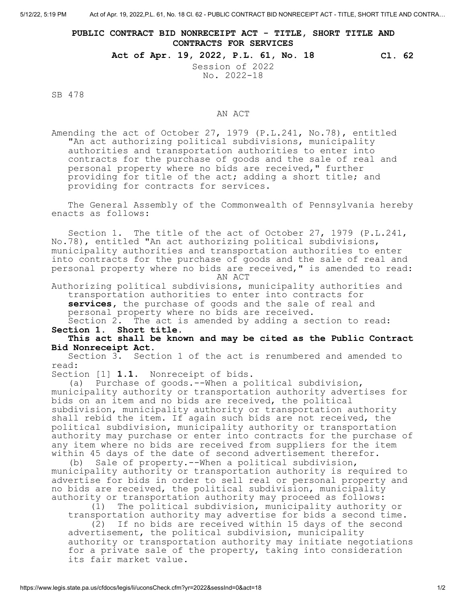## **PUBLIC CONTRACT BID NONRECEIPT ACT - TITLE, SHORT TITLE AND CONTRACTS FOR SERVICES**

**Act of Apr. 19, 2022, P.L. 61, No. 18 Cl. 62**

Session of 2022 No. 2022-18

SB 478

## AN ACT

Amending the act of October 27, 1979 (P.L.241, No.78), entitled "An act authorizing political subdivisions, municipality authorities and transportation authorities to enter into contracts for the purchase of goods and the sale of real and personal property where no bids are received," further providing for title of the act; adding a short title; and providing for contracts for services.

The General Assembly of the Commonwealth of Pennsylvania hereby enacts as follows:

Section 1. The title of the act of October 27, 1979 (P.L.241, No.78), entitled "An act authorizing political subdivisions, municipality authorities and transportation authorities to enter into contracts for the purchase of goods and the sale of real and personal property where no bids are received," is amended to read: AN ACT

Authorizing political subdivisions, municipality authorities and transportation authorities to enter into contracts for **services,** the purchase of goods and the sale of real and personal property where no bids are received. Section 2. The act is amended by adding a section to read:

**Section 1. Short title.**

## **This act shall be known and may be cited as the Public Contract Bid Nonreceipt Act.**

Section 3. Section 1 of the act is renumbered and amended to read:

Section [1] **1.1**. Nonreceipt of bids.

(a) Purchase of goods.--When a political subdivision, municipality authority or transportation authority advertises for bids on an item and no bids are received, the political subdivision, municipality authority or transportation authority shall rebid the item. If again such bids are not received, the political subdivision, municipality authority or transportation authority may purchase or enter into contracts for the purchase of any item where no bids are received from suppliers for the item within 45 days of the date of second advertisement therefor.

(b) Sale of property.--When a political subdivision, municipality authority or transportation authority is required to advertise for bids in order to sell real or personal property and no bids are received, the political subdivision, municipality authority or transportation authority may proceed as follows:

(1) The political subdivision, municipality authority or transportation authority may advertise for bids a second time. (2) If no bids are received within 15 days of the second advertisement, the political subdivision, municipality authority or transportation authority may initiate negotiations for a private sale of the property, taking into consideration its fair market value.